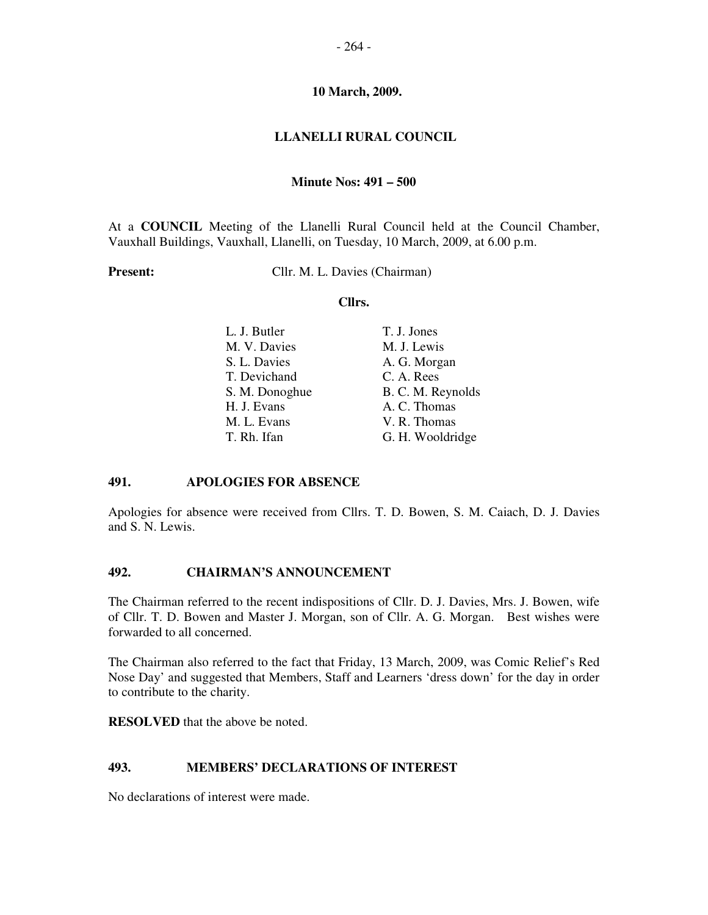#### **LLANELLI RURAL COUNCIL**

#### **Minute Nos: 491 – 500**

At a **COUNCIL** Meeting of the Llanelli Rural Council held at the Council Chamber, Vauxhall Buildings, Vauxhall, Llanelli, on Tuesday, 10 March, 2009, at 6.00 p.m.

**Present:** Cllr. M. L. Davies (Chairman)

#### **Cllrs.**

| L. J. Butler   | T. J. Jones       |
|----------------|-------------------|
| M. V. Davies   | M. J. Lewis       |
| S. L. Davies   | A. G. Morgan      |
| T. Devichand   | C. A. Rees        |
| S. M. Donoghue | B. C. M. Reynolds |
| H. J. Evans    | A. C. Thomas      |
| M. L. Evans    | V. R. Thomas      |
| T. Rh. Ifan    | G. H. Wooldridge  |
|                |                   |

#### **491. APOLOGIES FOR ABSENCE**

Apologies for absence were received from Cllrs. T. D. Bowen, S. M. Caiach, D. J. Davies and S. N. Lewis.

# **492. CHAIRMAN'S ANNOUNCEMENT**

The Chairman referred to the recent indispositions of Cllr. D. J. Davies, Mrs. J. Bowen, wife of Cllr. T. D. Bowen and Master J. Morgan, son of Cllr. A. G. Morgan. Best wishes were forwarded to all concerned.

The Chairman also referred to the fact that Friday, 13 March, 2009, was Comic Relief's Red Nose Day' and suggested that Members, Staff and Learners 'dress down' for the day in order to contribute to the charity.

**RESOLVED** that the above be noted.

#### **493. MEMBERS' DECLARATIONS OF INTEREST**

No declarations of interest were made.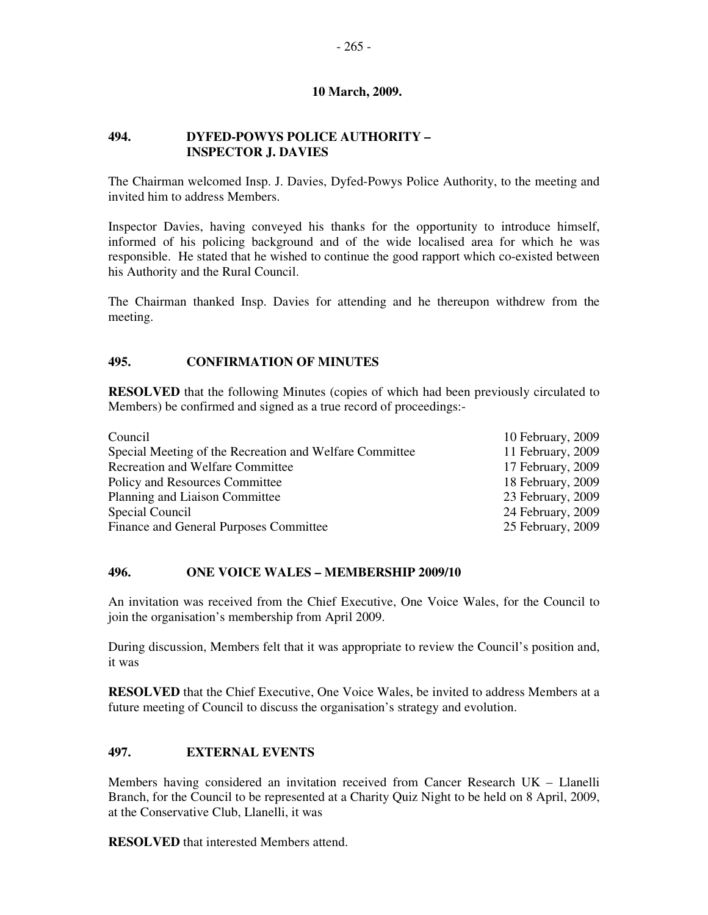## **494. DYFED-POWYS POLICE AUTHORITY – INSPECTOR J. DAVIES**

The Chairman welcomed Insp. J. Davies, Dyfed-Powys Police Authority, to the meeting and invited him to address Members.

Inspector Davies, having conveyed his thanks for the opportunity to introduce himself, informed of his policing background and of the wide localised area for which he was responsible. He stated that he wished to continue the good rapport which co-existed between his Authority and the Rural Council.

The Chairman thanked Insp. Davies for attending and he thereupon withdrew from the meeting.

# **495. CONFIRMATION OF MINUTES**

**RESOLVED** that the following Minutes (copies of which had been previously circulated to Members) be confirmed and signed as a true record of proceedings:-

| 10 February, 2009 |
|-------------------|
| 11 February, 2009 |
| 17 February, 2009 |
| 18 February, 2009 |
| 23 February, 2009 |
| 24 February, 2009 |
| 25 February, 2009 |
|                   |

## **496. ONE VOICE WALES – MEMBERSHIP 2009/10**

An invitation was received from the Chief Executive, One Voice Wales, for the Council to join the organisation's membership from April 2009.

During discussion, Members felt that it was appropriate to review the Council's position and, it was

**RESOLVED** that the Chief Executive, One Voice Wales, be invited to address Members at a future meeting of Council to discuss the organisation's strategy and evolution.

# **497. EXTERNAL EVENTS**

Members having considered an invitation received from Cancer Research UK – Llanelli Branch, for the Council to be represented at a Charity Quiz Night to be held on 8 April, 2009, at the Conservative Club, Llanelli, it was

**RESOLVED** that interested Members attend.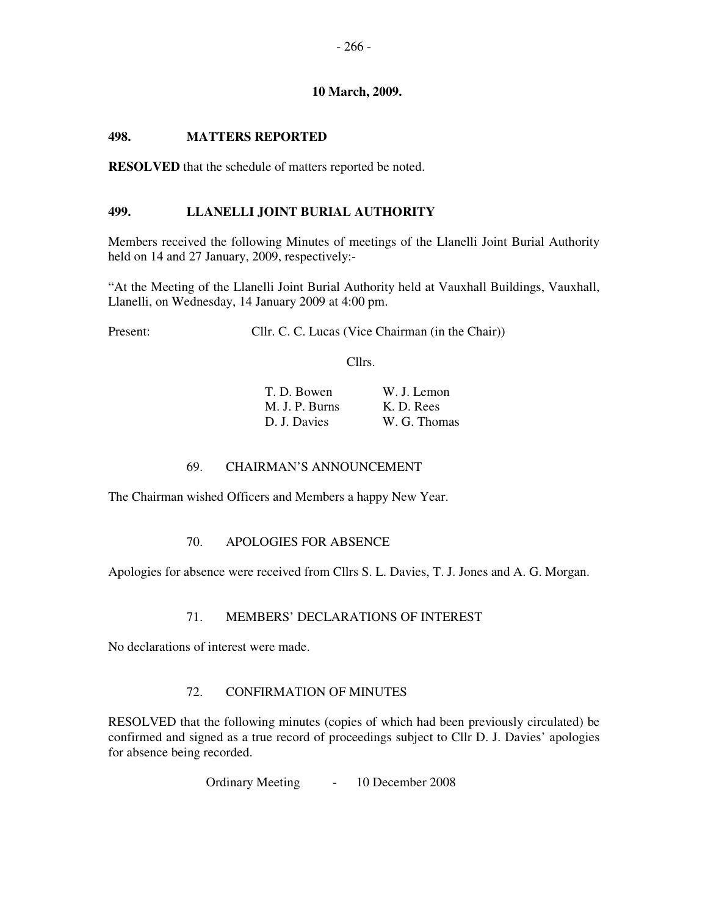# **498. MATTERS REPORTED**

**RESOLVED** that the schedule of matters reported be noted.

# **499. LLANELLI JOINT BURIAL AUTHORITY**

Members received the following Minutes of meetings of the Llanelli Joint Burial Authority held on 14 and 27 January, 2009, respectively:-

"At the Meeting of the Llanelli Joint Burial Authority held at Vauxhall Buildings, Vauxhall, Llanelli, on Wednesday, 14 January 2009 at 4:00 pm.

Present: Cllr. C. C. Lucas (Vice Chairman (in the Chair))

Cllrs.

| T. D. Bowen    | W. J. Lemon  |
|----------------|--------------|
| M. J. P. Burns | K. D. Rees   |
| D. J. Davies   | W. G. Thomas |

# 69. CHAIRMAN'S ANNOUNCEMENT

The Chairman wished Officers and Members a happy New Year.

# 70. APOLOGIES FOR ABSENCE

Apologies for absence were received from Cllrs S. L. Davies, T. J. Jones and A. G. Morgan.

### 71. MEMBERS' DECLARATIONS OF INTEREST

No declarations of interest were made.

# 72. CONFIRMATION OF MINUTES

RESOLVED that the following minutes (copies of which had been previously circulated) be confirmed and signed as a true record of proceedings subject to Cllr D. J. Davies' apologies for absence being recorded.

Ordinary Meeting - 10 December 2008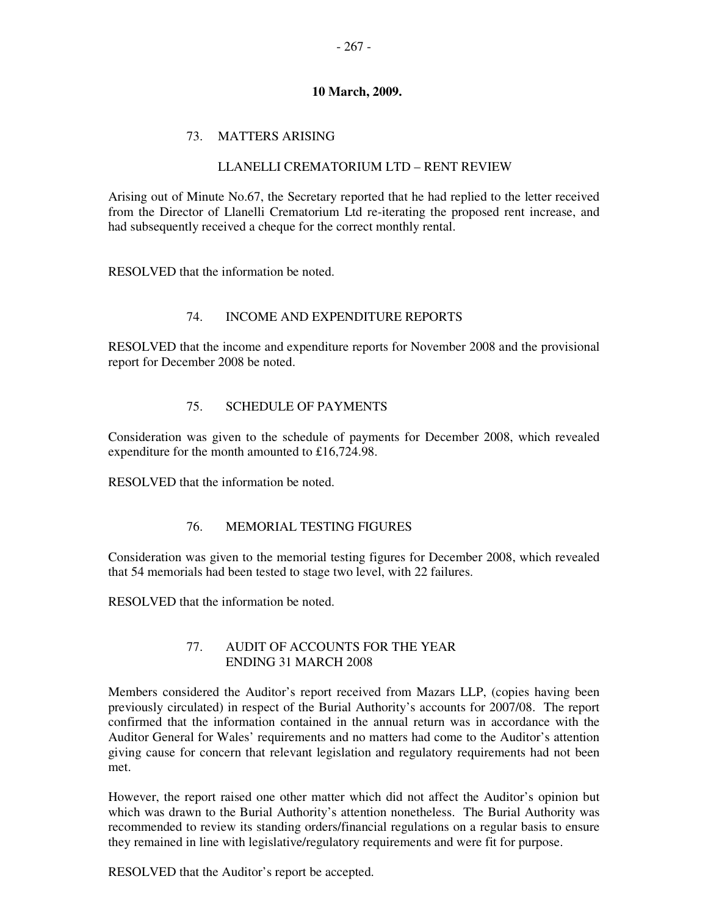# 73. MATTERS ARISING

# LLANELLI CREMATORIUM LTD – RENT REVIEW

Arising out of Minute No.67, the Secretary reported that he had replied to the letter received from the Director of Llanelli Crematorium Ltd re-iterating the proposed rent increase, and had subsequently received a cheque for the correct monthly rental.

RESOLVED that the information be noted.

# 74. INCOME AND EXPENDITURE REPORTS

RESOLVED that the income and expenditure reports for November 2008 and the provisional report for December 2008 be noted.

# 75. SCHEDULE OF PAYMENTS

Consideration was given to the schedule of payments for December 2008, which revealed expenditure for the month amounted to £16,724.98.

RESOLVED that the information be noted.

### 76. MEMORIAL TESTING FIGURES

Consideration was given to the memorial testing figures for December 2008, which revealed that 54 memorials had been tested to stage two level, with 22 failures.

RESOLVED that the information be noted.

### 77. AUDIT OF ACCOUNTS FOR THE YEAR ENDING 31 MARCH 2008

Members considered the Auditor's report received from Mazars LLP, (copies having been previously circulated) in respect of the Burial Authority's accounts for 2007/08. The report confirmed that the information contained in the annual return was in accordance with the Auditor General for Wales' requirements and no matters had come to the Auditor's attention giving cause for concern that relevant legislation and regulatory requirements had not been met.

However, the report raised one other matter which did not affect the Auditor's opinion but which was drawn to the Burial Authority's attention nonetheless. The Burial Authority was recommended to review its standing orders/financial regulations on a regular basis to ensure they remained in line with legislative/regulatory requirements and were fit for purpose.

RESOLVED that the Auditor's report be accepted.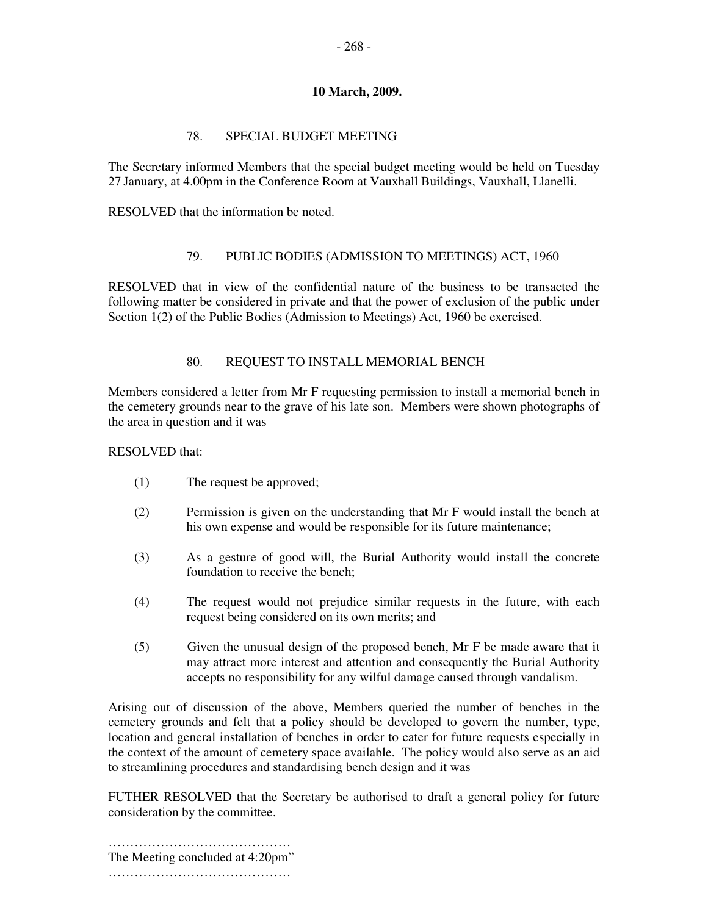# 78. SPECIAL BUDGET MEETING

The Secretary informed Members that the special budget meeting would be held on Tuesday 27 January, at 4.00pm in the Conference Room at Vauxhall Buildings, Vauxhall, Llanelli.

RESOLVED that the information be noted.

# 79. PUBLIC BODIES (ADMISSION TO MEETINGS) ACT, 1960

RESOLVED that in view of the confidential nature of the business to be transacted the following matter be considered in private and that the power of exclusion of the public under Section 1(2) of the Public Bodies (Admission to Meetings) Act, 1960 be exercised.

# 80. REQUEST TO INSTALL MEMORIAL BENCH

Members considered a letter from Mr F requesting permission to install a memorial bench in the cemetery grounds near to the grave of his late son. Members were shown photographs of the area in question and it was

## RESOLVED that:

- (1) The request be approved;
- (2) Permission is given on the understanding that Mr F would install the bench at his own expense and would be responsible for its future maintenance;
- (3) As a gesture of good will, the Burial Authority would install the concrete foundation to receive the bench;
- (4) The request would not prejudice similar requests in the future, with each request being considered on its own merits; and
- (5) Given the unusual design of the proposed bench, Mr F be made aware that it may attract more interest and attention and consequently the Burial Authority accepts no responsibility for any wilful damage caused through vandalism.

Arising out of discussion of the above, Members queried the number of benches in the cemetery grounds and felt that a policy should be developed to govern the number, type, location and general installation of benches in order to cater for future requests especially in the context of the amount of cemetery space available. The policy would also serve as an aid to streamlining procedures and standardising bench design and it was

FUTHER RESOLVED that the Secretary be authorised to draft a general policy for future consideration by the committee.

…………………………………… The Meeting concluded at 4:20pm" ………………………………………………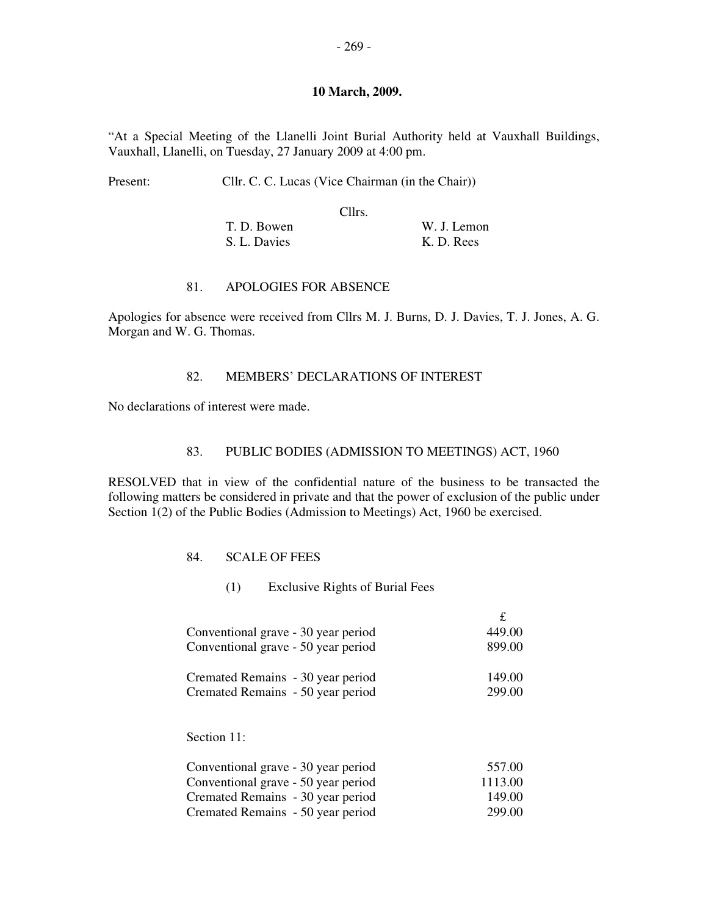"At a Special Meeting of the Llanelli Joint Burial Authority held at Vauxhall Buildings, Vauxhall, Llanelli, on Tuesday, 27 January 2009 at 4:00 pm.

| Present: |  | Cllr. C. C. Lucas (Vice Chairman (in the Chair)) |
|----------|--|--------------------------------------------------|
|----------|--|--------------------------------------------------|

Cllrs.

| T. D. Bowen  | W. J. Lemon |
|--------------|-------------|
| S. L. Davies | K. D. Rees  |

#### 81. APOLOGIES FOR ABSENCE

Apologies for absence were received from Cllrs M. J. Burns, D. J. Davies, T. J. Jones, A. G. Morgan and W. G. Thomas.

## 82. MEMBERS' DECLARATIONS OF INTEREST

No declarations of interest were made.

#### 83. PUBLIC BODIES (ADMISSION TO MEETINGS) ACT, 1960

RESOLVED that in view of the confidential nature of the business to be transacted the following matters be considered in private and that the power of exclusion of the public under Section 1(2) of the Public Bodies (Admission to Meetings) Act, 1960 be exercised.

#### 84. SCALE OF FEES

(1) Exclusive Rights of Burial Fees

| Conventional grave - 30 year period | 449.00 |
|-------------------------------------|--------|
| Conventional grave - 50 year period | 899.00 |
| Cremated Remains - 30 year period   | 149.00 |
| Cremated Remains - 50 year period   | 299.00 |

# Section 11:

| Conventional grave - 30 year period | 557.00  |
|-------------------------------------|---------|
| Conventional grave - 50 year period | 1113.00 |
| Cremated Remains - 30 year period   | 149.00  |
| Cremated Remains - 50 year period   | 299.00  |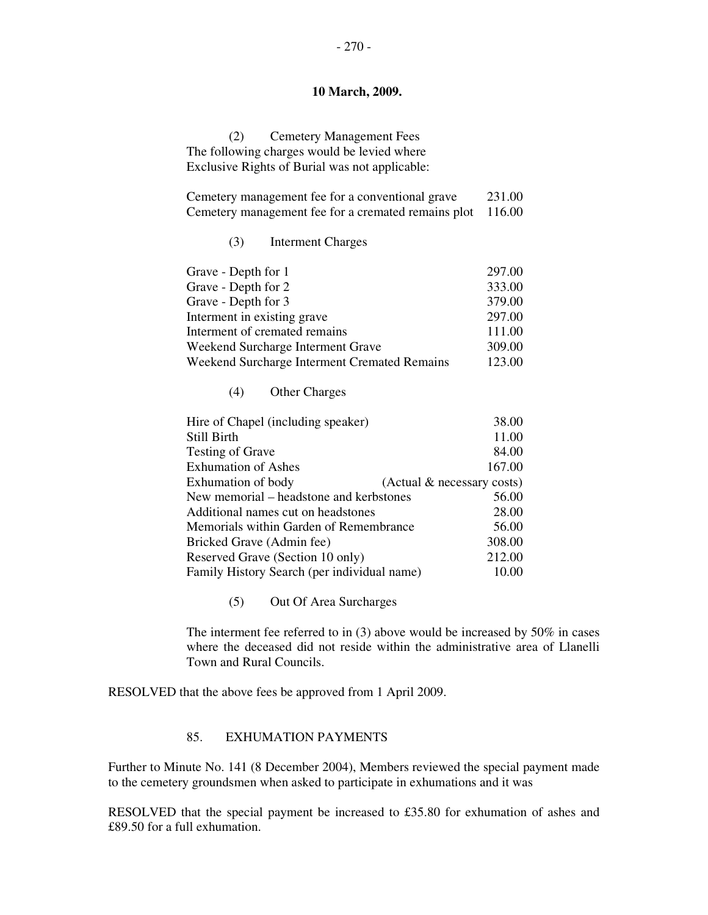(2) Cemetery Management Fees The following charges would be levied where Exclusive Rights of Burial was not applicable:

| Cemetery management fee for a conventional grave           | 231.00 |
|------------------------------------------------------------|--------|
| Cemetery management fee for a cremated remains plot 116.00 |        |

(3) Interment Charges

| Grave - Depth for 1                          | 297.00 |
|----------------------------------------------|--------|
| Grave - Depth for 2                          | 333.00 |
| Grave - Depth for 3                          | 379.00 |
| Interment in existing grave                  | 297.00 |
| Interment of cremated remains                | 111.00 |
| Weekend Surcharge Interment Grave            | 309.00 |
| Weekend Surcharge Interment Cremated Remains | 123.00 |

(4) Other Charges

| Hire of Chapel (including speaker)          | 38.00                      |  |
|---------------------------------------------|----------------------------|--|
| Still Birth                                 | 11.00                      |  |
| <b>Testing of Grave</b>                     | 84.00                      |  |
| <b>Exhumation of Ashes</b>                  | 167.00                     |  |
| Exhumation of body                          | (Actual & necessary costs) |  |
| New memorial – headstone and kerbstones     | 56.00                      |  |
| Additional names cut on headstones          | 28.00                      |  |
| Memorials within Garden of Remembrance      | 56.00                      |  |
| Bricked Grave (Admin fee)                   | 308.00                     |  |
| Reserved Grave (Section 10 only)            | 212.00                     |  |
| Family History Search (per individual name) | 10.00                      |  |
|                                             |                            |  |

(5) Out Of Area Surcharges

The interment fee referred to in (3) above would be increased by 50% in cases where the deceased did not reside within the administrative area of Llanelli Town and Rural Councils.

RESOLVED that the above fees be approved from 1 April 2009.

# 85. EXHUMATION PAYMENTS

Further to Minute No. 141 (8 December 2004), Members reviewed the special payment made to the cemetery groundsmen when asked to participate in exhumations and it was

RESOLVED that the special payment be increased to £35.80 for exhumation of ashes and £89.50 for a full exhumation.